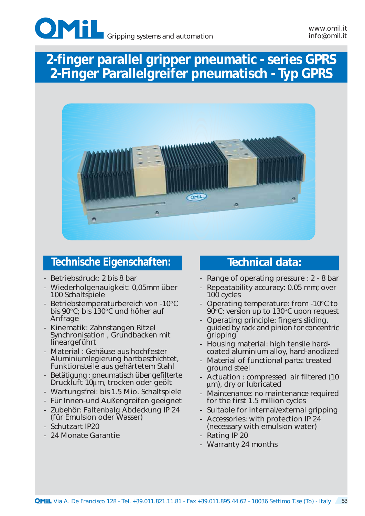

# *2-finger parallel gripper pneumatic - series GPRS 2-Finger Parallelgreifer pneumatisch - Typ GPRS*



### **Technische Eigenschaften: Technical data:**

- Betriebsdruck: 2 bis 8 bar
- Wiederholgenauigkeit: 0,05mm über 100 Schaltspiele
- Betriebstemperaturbereich von -10°C bis 90°C; bis 130°C und höher auf Anfrage
- Kinematik: Zahnstangen Ritzel Synchronisation , Grundbacken mit lineargeführt
- Material : Gehäuse aus hochfester Aluminiumlegierung hartbeschichtet, Funktionsteile aus gehärtetem Stahl
- Betätigung : pneumatisch über gefilterte Druckluft 10µm, trocken oder geölt
- Wartungsfrei: bis 1.5 Mio. Schaltspiele
- Für Innen-und Außengreifen geeignet
- Zubehör: Faltenbalg Abdeckung IP 24 (für Emulsion oder Wasser)
- Schutzart IP20
- 24 Monate Garantie

- Range of operating pressure : 2 8 bar
- Repeatability accuracy: 0.05 mm; over 100 cycles
- Operating temperature: from -10°C to 90°C; version up to 130°C upon request
- Operating principle: fingers sliding, guided by rack and pinion for concentric gripping
- Housing material: high tensile hardcoated aluminium alloy, hard-anodized
- Material of functional parts: treated ground steel
- Actuation : compressed air filtered (10 µm), dry or lubricated
- Maintenance: no maintenance required for the first 1.5 million cycles
- Suitable for internal/external gripping
- Accessories: with protection IP 24 (necessary with emulsion water)
- Rating IP 20
- Warranty 24 months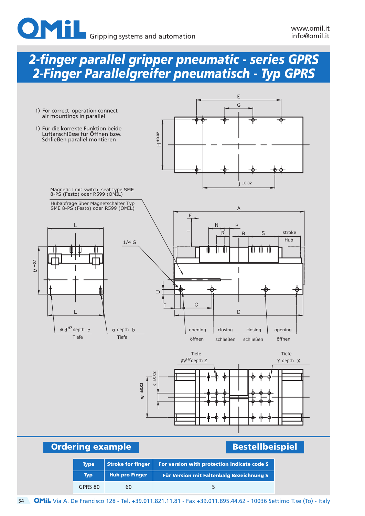## *2-finger parallel gripper pneumatic - series GPRS 2-Finger Parallelgreifer pneumatisch - Typ GPRS*





**Ordering example Bestellbeispiel** 

| <b>Type</b> | <b>Stroke for finger</b> | For version with protection indicate code S     |
|-------------|--------------------------|-------------------------------------------------|
| <b>Typ</b>  | <b>Hub pro Finger</b>    | <b>Für Version mit Faltenbalg Bezeichnung S</b> |
| GPRS 80     | 60                       |                                                 |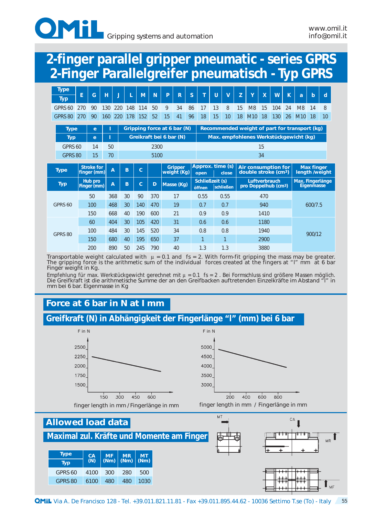

## *2-finger parallel gripper pneumatic - series GPRS 2-Finger Parallelgreifer pneumatisch - Typ GPRS*

| <b>Type</b><br><b>Typ</b> | E                                                                                                | G                      | н   | ŋ              |                 | M   | N    | P                       | R              | S  | T                                | U  | $\mathbf v$ | Z  | Y                                                              | $\boldsymbol{X}$ | W   | K  | a                                      | $\mathbf b$       | d                              |
|---------------------------|--------------------------------------------------------------------------------------------------|------------------------|-----|----------------|-----------------|-----|------|-------------------------|----------------|----|----------------------------------|----|-------------|----|----------------------------------------------------------------|------------------|-----|----|----------------------------------------|-------------------|--------------------------------|
| GPRS 60                   | 270                                                                                              | 90                     | 130 | 220            | 148             | 114 | 50   | 9                       | 34             | 86 | 17                               | 13 | 8           | 15 | M <sub>8</sub>                                                 | 15               | 104 | 24 | M <sub>8</sub>                         | 14                | 8                              |
| GPRS 80                   | 270                                                                                              | 90                     | 160 | 220            | 178             | 152 | 52   | 15                      | 41             | 96 | 18                               | 15 | 10          | 18 | M <sub>10</sub>                                                | 18               | 130 | 26 | M <sub>10</sub>                        | 18                | 10                             |
|                           | Recommended weight of part for transport (kg)<br>Gripping force at 6 bar (N)<br><b>Type</b><br>e |                        |     |                |                 |     |      |                         |                |    |                                  |    |             |    |                                                                |                  |     |    |                                        |                   |                                |
| <b>Typ</b>                |                                                                                                  | $\mathbf{e}$           | Ш   |                |                 |     |      | Greikraft bei 6 bar (N) |                |    |                                  |    |             |    |                                                                |                  |     |    | Max. empfohlenes Werkstückgewicht (kg) |                   |                                |
| GPRS 60                   |                                                                                                  | 14                     | 50  |                |                 |     | 2300 |                         |                |    |                                  |    |             |    |                                                                | 15               |     |    |                                        |                   |                                |
| GPRS 80                   |                                                                                                  | 15                     | 70  |                |                 |     | 5100 |                         |                |    |                                  |    |             |    |                                                                | 34               |     |    |                                        |                   |                                |
|                           |                                                                                                  | <b>Stroke for</b>      |     |                |                 |     |      |                         | <b>Gripper</b> |    | Approx. time (s)                 |    |             |    |                                                                |                  |     |    |                                        | <b>Max finger</b> |                                |
| <b>Type</b>               |                                                                                                  | finger (mm)            |     | $\overline{A}$ | B               | Ć   |      | weight (Kg)             |                |    | open                             |    | close       |    | <b>Air consumption for</b><br>double stroke (cm <sup>3</sup> ) |                  |     |    |                                        |                   | length /weight                 |
| <b>Typ</b>                |                                                                                                  | Hub pro<br>Finger (mm) |     | $\overline{A}$ | B               | Ć   | D    | Masse (Kg)              |                |    | <b>Schließzeit (s)</b><br>öffnen |    | schließen   |    | pro Doppelhub (cm <sup>3</sup> )                               | Luftverbrauch    |     |    |                                        |                   | Max. Fingerlänge<br>Eigenmasse |
|                           |                                                                                                  | 50                     |     | 368            | 30 <sub>2</sub> | 90  | 370  |                         | 17             |    | 0.55                             |    | 0.55        |    |                                                                | 470              |     |    |                                        |                   |                                |
| GPRS 60                   |                                                                                                  | 100                    |     | 468            | 30              | 140 | 470  |                         | 19             |    | 0.7                              |    | 0.7         |    |                                                                | 940              |     |    |                                        | 600/7.5           |                                |
|                           |                                                                                                  | 150                    |     | 668            | 40              | 190 | 600  |                         | 21             |    | 0.9                              |    | 0.9         |    |                                                                | 1410             |     |    |                                        |                   |                                |
|                           |                                                                                                  | 60                     |     | 404            | 30              | 105 | 420  |                         | 31             |    | 0.6                              |    | 0.6         |    |                                                                | 1180             |     |    |                                        |                   |                                |
|                           |                                                                                                  | 100                    |     | 484            | 30              | 145 | 520  |                         | 34             |    | 0.8                              |    | 0.8         |    |                                                                | 1940             |     |    |                                        |                   |                                |
| GPRS 80                   |                                                                                                  | 150                    |     | 680            | 40              | 195 | 650  |                         | 37             |    | $\overline{1}$                   |    |             |    |                                                                | 2900             |     |    |                                        | 900/12            |                                |

Transportable weight calculated with  $\mu = 0.1$  and fs = 2. With form-fit gripping the mass may be greater. The gripping force is the arithmetic sum of the individual forces created at the fingers at "I" mm at 6 bar Finger weight in Kg.

Empfehlung für max. Werkstückgewicht gerechnet mit  $\mu = 0.1$  fs = 2. Bei Formschluss sind größere Massen möglich. Die Greifkraft ist die arithmetische Summe der an den Greifbacken auftretenden Einzelkräfte im Abstand "l" in mm bei 6 bar. Eigenmasse in Kg

### **Force at 6 bar in N at I mm**